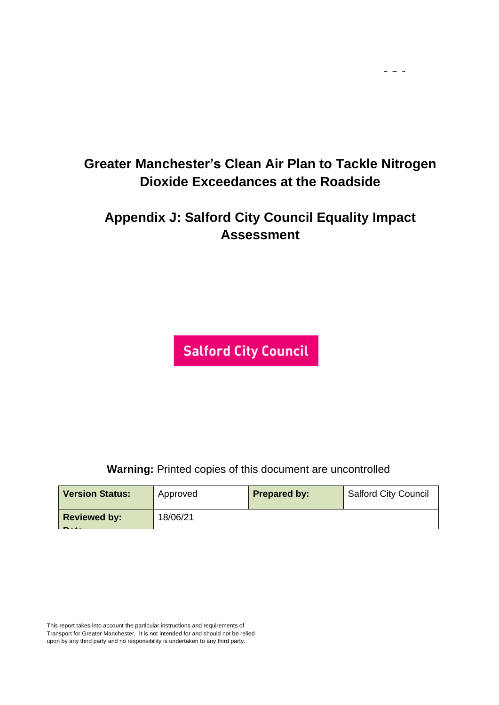$\sim$   $\sim$   $\sim$ 

# **Appendix J: Salford City Council Equality Impact Assessment**

**Salford City Council** 

**Warning:** Printed copies of this document are uncontrolled

| <b>Version Status:</b>                          | Approved | <b>Prepared by:</b> | <b>Salford City Council</b> |
|-------------------------------------------------|----------|---------------------|-----------------------------|
| <b>Reviewed by:</b><br>$\overline{\phantom{a}}$ | 18/06/21 |                     |                             |

This report takes into account the particular instructions and requirements of Transport for Greater Manchester. It is not intended for and should not be relied upon by any third party and no responsibility is undertaken to any third party.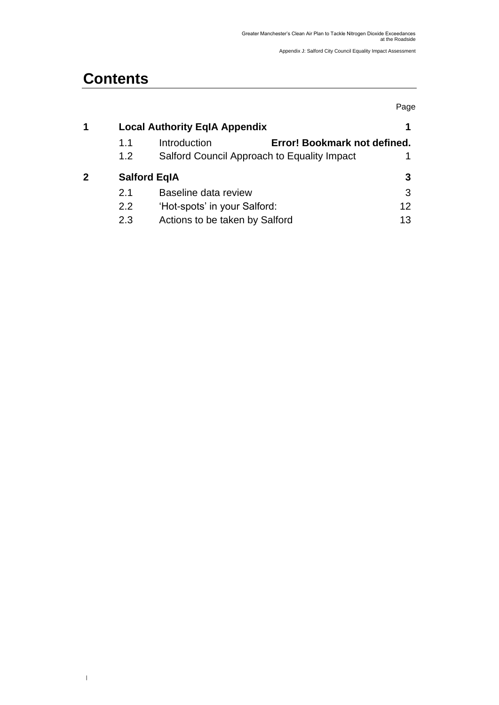# **Contents**

 $\,$   $\,$ 

|   |     |                                              | Page |
|---|-----|----------------------------------------------|------|
| 1 |     | <b>Local Authority EqIA Appendix</b>         |      |
|   | 1.1 | Introduction<br>Error! Bookmark not defined. |      |
|   | 1.2 | Salford Council Approach to Equality Impact  |      |
| 2 |     | <b>Salford EqIA</b>                          | 3    |
|   | 2.1 | Baseline data review                         | 3    |
|   | 2.2 | 'Hot-spots' in your Salford:                 | 12   |
|   | 2.3 | Actions to be taken by Salford               | 13   |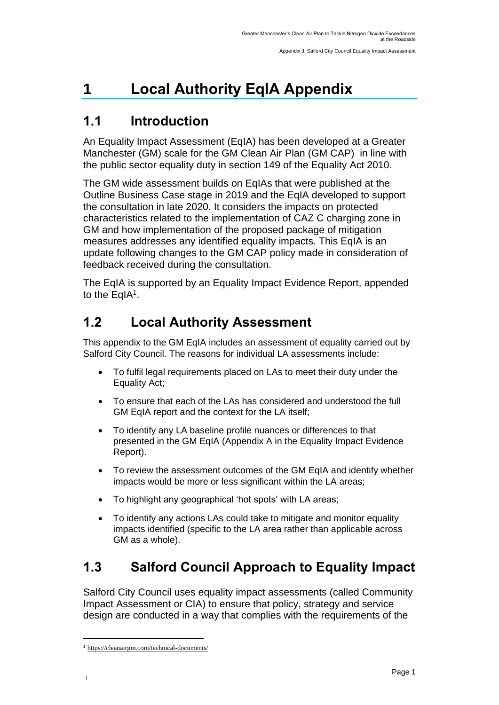# <span id="page-2-0"></span>**1 Local Authority EqIA Appendix**

## <span id="page-2-1"></span>**1.1 Introduction**

An Equality Impact Assessment (EqIA) has been developed at a Greater Manchester (GM) scale for the GM Clean Air Plan (GM CAP) in line with the public sector equality duty in section 149 of the Equality Act 2010.

The GM wide assessment builds on EqIAs that were published at the Outline Business Case stage in 2019 and the EqIA developed to support the consultation in late 2020. It considers the impacts on protected characteristics related to the implementation of CAZ C charging zone in GM and how implementation of the proposed package of mitigation measures addresses any identified equality impacts. This EqIA is an update following changes to the GM CAP policy made in consideration of feedback received during the consultation.

The EqIA is supported by an Equality Impact Evidence Report, appended to the EqIA<sup>1</sup>.

# **1.2 Local Authority Assessment**

This appendix to the GM EqIA includes an assessment of equality carried out by Salford City Council. The reasons for individual LA assessments include:

- To fulfil legal requirements placed on LAs to meet their duty under the Equality Act;
- To ensure that each of the LAs has considered and understood the full GM EqIA report and the context for the LA itself:
- To identify any LA baseline profile nuances or differences to that presented in the GM EqIA (Appendix A in the Equality Impact Evidence Report).
- To review the assessment outcomes of the GM EqIA and identify whether impacts would be more or less significant within the LA areas;
- To highlight any geographical 'hot spots' with LA areas;
- To identify any actions LAs could take to mitigate and monitor equality impacts identified (specific to the LA area rather than applicable across GM as a whole).

# **1.3 Salford Council Approach to Equality Impact**

Salford City Council uses equality impact assessments (called Community Impact Assessment or CIA) to ensure that policy, strategy and service design are conducted in a way that complies with the requirements of the

|

<sup>1</sup> [https://cleanairgm.com/technical-documents/](https://secure-web.cisco.com/11eiBCgElauzNx9ZLncgJx3iOubmp4VtcvvkdlhxY65RKvTbIb59-L2ncr8SElltrd2x-6LbEl4KMsTTxIe3wkMOtRdF_mwDnnUw_pzGQZOwSRIhPJyQIZ8Yp6BpEAcNSn8Ts-zUMkCwwKuuZ6JqlhO90pJazjetwe6gKhLVIM_BswP0PQmXUeuqGyGpWdmieI8qM86OywsW2Ih1TXBkADjvPWBAW0J67oLJLyOi-5a-P-uw5qxFWy4jV1Rgj27aX74mWEA8RmcCJF_QiJniWV9Y7vnNRmfIdielNKILyTnV3ChPut5AXlpom2ThMoaDynN4YcMw9M5bXrEI6WdmDFg/https%3A%2F%2Furl4.mailanyone.net%2Fv1%2F%3Fm%3D1lqaQa-0007kg-3t%26i%3D57e1b682%26c%3Dwx7pouswT3bJs4LPeETsz86q7Q_0OC56XXhe7DlJDibGRSGR8fdmSomeuSdI7C2Fa0eQbaAqoLXhP95flvC3e_rUhnBjBiD8llf9LaF4ZtCjfFRgnR8YVM3huSJaCGnICk94fttlvHc5puWw5cDJWXKncROEJUpzHqnxCBOtlS83l3-sjgML-pIcbUhAQZELxzuJu6c3812_3lnwQAbyYwgocO5Fara8d5TyMQqiWW6tNZcZXXghiSlVoISAGQRmsZ-TU8nVqIdM3Z7LyV0OBSLL4yenFqLa1SDyZM36c6L9Rv_9RwvC_zO8-ja9EEmp3RuaxQ4iKqu8pID_qRBxLRB9hKR0Yp8TjK3AxZQfI6W6JX6ff_FKZIssUgNuX4h8fgWjXtS31MSzgcKKD5htCOS8RNiJG7hqFaezCADs1zqfd5YI5KwtXyQV8Xcw9c04dqUU3rtH6b_zGkplrYZzi_tw5Uh0gVH_yDQ0aze-YmaYOmPe-7DcIOn3tcJzyPAzyNqQZKCfP-i1oh349NtnaY_1gjK4qs0hRBa9R9D0kEGpaGRFokA16JTCjrnHuvRgs7DcM7Fi3nDdrs6xiFxYb34O5EIVstmWMeA67C4pmsqoQ4hX3-rUnQd3vI35GAzQJzJxEsp-QxLb4UU4coOA_r80VNAaur_GF4G4X8lvmN0gEZ3Wu5QzUhFNsj4TCOgSucH17LnJrJVLTZfksCAbTQ)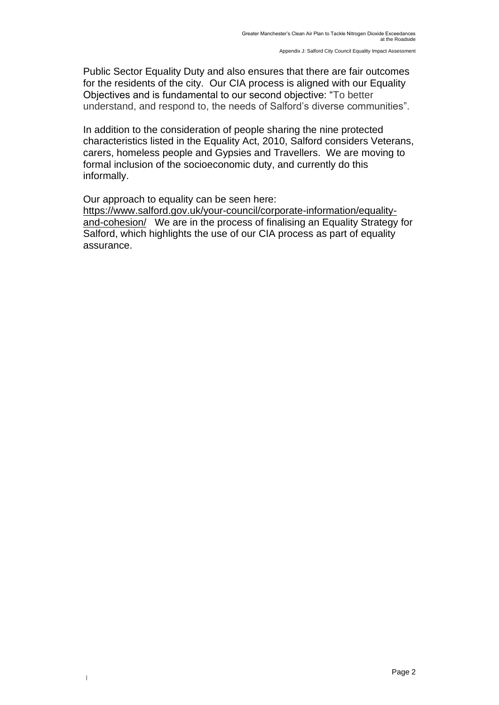Public Sector Equality Duty and also ensures that there are fair outcomes for the residents of the city. Our CIA process is aligned with our Equality Objectives and is fundamental to our second objective: "To better understand, and respond to, the needs of Salford's diverse communities".

In addition to the consideration of people sharing the nine protected characteristics listed in the Equality Act, 2010, Salford considers Veterans, carers, homeless people and Gypsies and Travellers. We are moving to formal inclusion of the socioeconomic duty, and currently do this informally.

Our approach to equality can be seen here: [https://www.salford.gov.uk/your-council/corporate-information/equality](https://www.salford.gov.uk/your-council/corporate-information/equality-and-cohesion/)[and-cohesion/](https://www.salford.gov.uk/your-council/corporate-information/equality-and-cohesion/) We are in the process of finalising an Equality Strategy for

|

Salford, which highlights the use of our CIA process as part of equality assurance.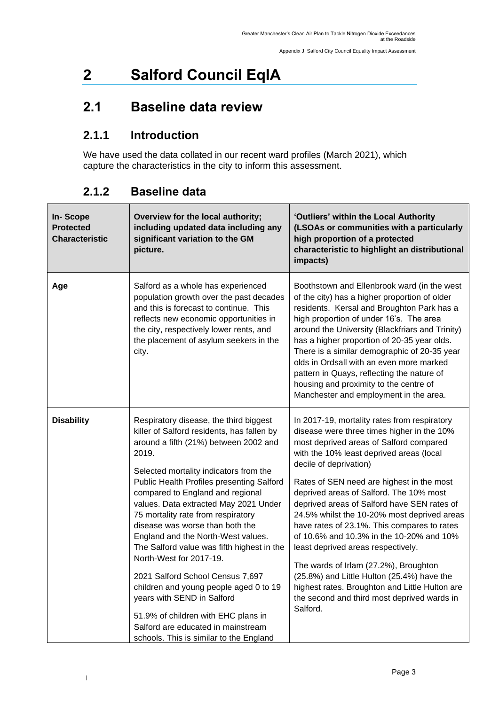# <span id="page-4-0"></span>**2 Salford Council EqIA**

## <span id="page-4-1"></span>**2.1 Baseline data review**

## **2.1.1 Introduction**

We have used the data collated in our recent ward profiles (March 2021), which capture the characteristics in the city to inform this assessment.

| In-Scope<br><b>Protected</b><br><b>Characteristic</b> | Overview for the local authority;<br>including updated data including any<br>significant variation to the GM<br>picture.                                                                                                                                                                                                                                                                                                                                                                                                                                                                                                                                                                                                                      | 'Outliers' within the Local Authority<br>(LSOAs or communities with a particularly<br>high proportion of a protected<br>characteristic to highlight an distributional<br>impacts)                                                                                                                                                                                                                                                                                                                                                                                                                                                                                                                                                      |
|-------------------------------------------------------|-----------------------------------------------------------------------------------------------------------------------------------------------------------------------------------------------------------------------------------------------------------------------------------------------------------------------------------------------------------------------------------------------------------------------------------------------------------------------------------------------------------------------------------------------------------------------------------------------------------------------------------------------------------------------------------------------------------------------------------------------|----------------------------------------------------------------------------------------------------------------------------------------------------------------------------------------------------------------------------------------------------------------------------------------------------------------------------------------------------------------------------------------------------------------------------------------------------------------------------------------------------------------------------------------------------------------------------------------------------------------------------------------------------------------------------------------------------------------------------------------|
| Age                                                   | Salford as a whole has experienced<br>population growth over the past decades<br>and this is forecast to continue. This<br>reflects new economic opportunities in<br>the city, respectively lower rents, and<br>the placement of asylum seekers in the<br>city.                                                                                                                                                                                                                                                                                                                                                                                                                                                                               | Boothstown and Ellenbrook ward (in the west<br>of the city) has a higher proportion of older<br>residents. Kersal and Broughton Park has a<br>high proportion of under 16's. The area<br>around the University (Blackfriars and Trinity)<br>has a higher proportion of 20-35 year olds.<br>There is a similar demographic of 20-35 year<br>olds in Ordsall with an even more marked<br>pattern in Quays, reflecting the nature of<br>housing and proximity to the centre of<br>Manchester and employment in the area.                                                                                                                                                                                                                  |
| <b>Disability</b>                                     | Respiratory disease, the third biggest<br>killer of Salford residents, has fallen by<br>around a fifth (21%) between 2002 and<br>2019.<br>Selected mortality indicators from the<br><b>Public Health Profiles presenting Salford</b><br>compared to England and regional<br>values. Data extracted May 2021 Under<br>75 mortality rate from respiratory<br>disease was worse than both the<br>England and the North-West values.<br>The Salford value was fifth highest in the<br>North-West for 2017-19.<br>2021 Salford School Census 7,697<br>children and young people aged 0 to 19<br>years with SEND in Salford<br>51.9% of children with EHC plans in<br>Salford are educated in mainstream<br>schools. This is similar to the England | In 2017-19, mortality rates from respiratory<br>disease were three times higher in the 10%<br>most deprived areas of Salford compared<br>with the 10% least deprived areas (local<br>decile of deprivation)<br>Rates of SEN need are highest in the most<br>deprived areas of Salford. The 10% most<br>deprived areas of Salford have SEN rates of<br>24.5% whilst the 10-20% most deprived areas<br>have rates of 23.1%. This compares to rates<br>of 10.6% and 10.3% in the 10-20% and 10%<br>least deprived areas respectively.<br>The wards of Irlam (27.2%), Broughton<br>(25.8%) and Little Hulton (25.4%) have the<br>highest rates. Broughton and Little Hulton are<br>the second and third most deprived wards in<br>Salford. |

#### **2.1.2 Baseline data**

|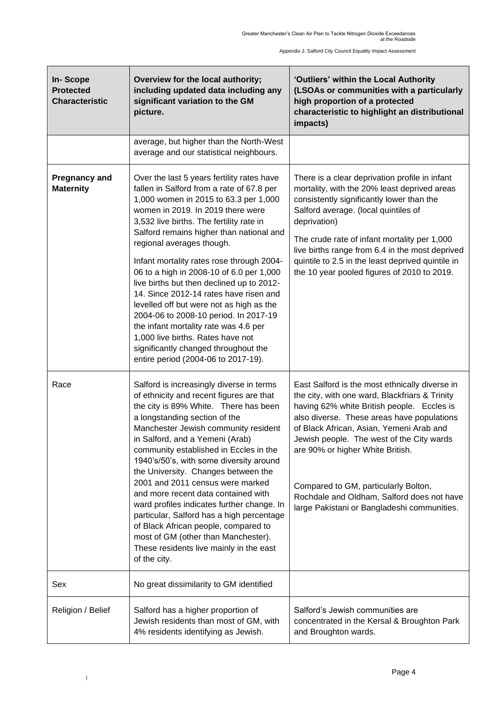Appendix J: Salford City Council Equality Impact Assessment

| <b>In-Scope</b><br><b>Protected</b><br><b>Characteristic</b> | Overview for the local authority;<br>including updated data including any<br>significant variation to the GM<br>picture.                                                                                                                                                                                                                                                                                                                                                                                                                                                                                                                                                                                                     | 'Outliers' within the Local Authority<br>(LSOAs or communities with a particularly<br>high proportion of a protected<br>characteristic to highlight an distributional<br>impacts)                                                                                                                                                                                                                                                                              |
|--------------------------------------------------------------|------------------------------------------------------------------------------------------------------------------------------------------------------------------------------------------------------------------------------------------------------------------------------------------------------------------------------------------------------------------------------------------------------------------------------------------------------------------------------------------------------------------------------------------------------------------------------------------------------------------------------------------------------------------------------------------------------------------------------|----------------------------------------------------------------------------------------------------------------------------------------------------------------------------------------------------------------------------------------------------------------------------------------------------------------------------------------------------------------------------------------------------------------------------------------------------------------|
|                                                              | average, but higher than the North-West<br>average and our statistical neighbours.                                                                                                                                                                                                                                                                                                                                                                                                                                                                                                                                                                                                                                           |                                                                                                                                                                                                                                                                                                                                                                                                                                                                |
| <b>Pregnancy and</b><br><b>Maternity</b>                     | Over the last 5 years fertility rates have<br>fallen in Salford from a rate of 67.8 per<br>1,000 women in 2015 to 63.3 per 1,000<br>women in 2019. In 2019 there were<br>3,532 live births. The fertility rate in<br>Salford remains higher than national and<br>regional averages though.<br>Infant mortality rates rose through 2004-<br>06 to a high in 2008-10 of 6.0 per 1,000<br>live births but then declined up to 2012-<br>14. Since 2012-14 rates have risen and<br>levelled off but were not as high as the<br>2004-06 to 2008-10 period. In 2017-19<br>the infant mortality rate was 4.6 per<br>1,000 live births. Rates have not<br>significantly changed throughout the<br>entire period (2004-06 to 2017-19). | There is a clear deprivation profile in infant<br>mortality, with the 20% least deprived areas<br>consistently significantly lower than the<br>Salford average. (local quintiles of<br>deprivation)<br>The crude rate of infant mortality per 1,000<br>live births range from 6.4 in the most deprived<br>quintile to 2.5 in the least deprived quintile in<br>the 10 year pooled figures of 2010 to 2019.                                                     |
| Race                                                         | Salford is increasingly diverse in terms<br>of ethnicity and recent figures are that<br>the city is 89% White. There has been<br>a longstanding section of the<br>Manchester Jewish community resident<br>in Salford, and a Yemeni (Arab)<br>community established in Eccles in the<br>1940's/50's, with some diversity around<br>the University. Changes between the<br>2001 and 2011 census were marked<br>and more recent data contained with<br>ward profiles indicates further change. In<br>particular, Salford has a high percentage<br>of Black African people, compared to<br>most of GM (other than Manchester).<br>These residents live mainly in the east<br>of the city.                                        | East Salford is the most ethnically diverse in<br>the city, with one ward, Blackfriars & Trinity<br>having 62% white British people. Eccles is<br>also diverse. These areas have populations<br>of Black African, Asian, Yemeni Arab and<br>Jewish people. The west of the City wards<br>are 90% or higher White British.<br>Compared to GM, particularly Bolton,<br>Rochdale and Oldham, Salford does not have<br>large Pakistani or Bangladeshi communities. |
| Sex                                                          | No great dissimilarity to GM identified                                                                                                                                                                                                                                                                                                                                                                                                                                                                                                                                                                                                                                                                                      |                                                                                                                                                                                                                                                                                                                                                                                                                                                                |
| Religion / Belief                                            | Salford has a higher proportion of<br>Jewish residents than most of GM, with<br>4% residents identifying as Jewish.                                                                                                                                                                                                                                                                                                                                                                                                                                                                                                                                                                                                          | Salford's Jewish communities are<br>concentrated in the Kersal & Broughton Park<br>and Broughton wards.                                                                                                                                                                                                                                                                                                                                                        |

|

 $\mathbf{r}$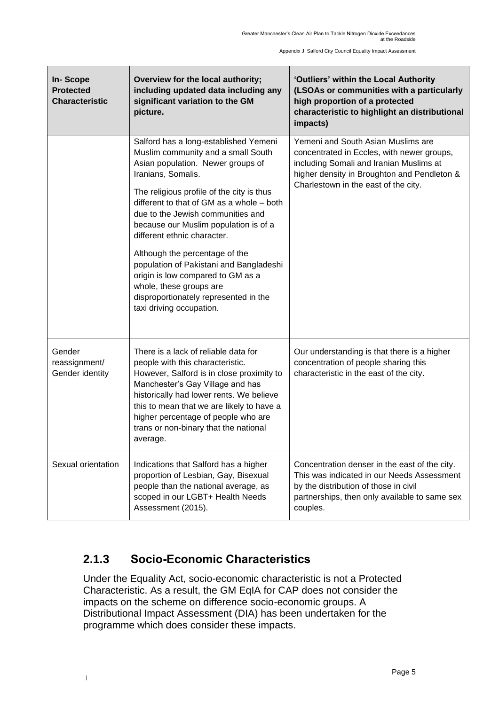Appendix J: Salford City Council Equality Impact Assessment

| <b>In-Scope</b><br><b>Protected</b><br><b>Characteristic</b> | Overview for the local authority;<br>including updated data including any<br>significant variation to the GM<br>picture.                                                                                                                                                                                                                                                                                                                                                                                                                                        | 'Outliers' within the Local Authority<br>(LSOAs or communities with a particularly<br>high proportion of a protected<br>characteristic to highlight an distributional<br>impacts)                                  |
|--------------------------------------------------------------|-----------------------------------------------------------------------------------------------------------------------------------------------------------------------------------------------------------------------------------------------------------------------------------------------------------------------------------------------------------------------------------------------------------------------------------------------------------------------------------------------------------------------------------------------------------------|--------------------------------------------------------------------------------------------------------------------------------------------------------------------------------------------------------------------|
|                                                              | Salford has a long-established Yemeni<br>Muslim community and a small South<br>Asian population. Newer groups of<br>Iranians, Somalis.<br>The religious profile of the city is thus<br>different to that of GM as a whole - both<br>due to the Jewish communities and<br>because our Muslim population is of a<br>different ethnic character.<br>Although the percentage of the<br>population of Pakistani and Bangladeshi<br>origin is low compared to GM as a<br>whole, these groups are<br>disproportionately represented in the<br>taxi driving occupation. | Yemeni and South Asian Muslims are<br>concentrated in Eccles, with newer groups,<br>including Somali and Iranian Muslims at<br>higher density in Broughton and Pendleton &<br>Charlestown in the east of the city. |
| Gender<br>reassignment/<br>Gender identity                   | There is a lack of reliable data for<br>people with this characteristic.<br>However, Salford is in close proximity to<br>Manchester's Gay Village and has<br>historically had lower rents. We believe<br>this to mean that we are likely to have a<br>higher percentage of people who are<br>trans or non-binary that the national<br>average.                                                                                                                                                                                                                  | Our understanding is that there is a higher<br>concentration of people sharing this<br>characteristic in the east of the city.                                                                                     |
| Sexual orientation                                           | Indications that Salford has a higher<br>proportion of Lesbian, Gay, Bisexual<br>people than the national average, as<br>scoped in our LGBT+ Health Needs<br>Assessment (2015).                                                                                                                                                                                                                                                                                                                                                                                 | Concentration denser in the east of the city.<br>This was indicated in our Needs Assessment<br>by the distribution of those in civil<br>partnerships, then only available to same sex<br>couples.                  |

## **2.1.3 Socio-Economic Characteristics**

|

Under the Equality Act, socio-economic characteristic is not a Protected Characteristic. As a result, the GM EqIA for CAP does not consider the impacts on the scheme on difference socio-economic groups. A Distributional Impact Assessment (DIA) has been undertaken for the programme which does consider these impacts.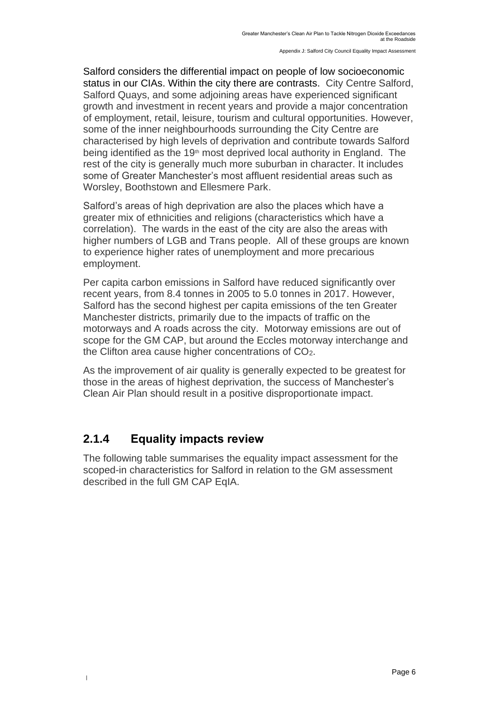Salford considers the differential impact on people of low socioeconomic status in our CIAs. Within the city there are contrasts. City Centre Salford, Salford Quays, and some adjoining areas have experienced significant growth and investment in recent years and provide a major concentration of employment, retail, leisure, tourism and cultural opportunities. However, some of the inner neighbourhoods surrounding the City Centre are characterised by high levels of deprivation and contribute towards Salford being identified as the 19<sup>th</sup> most deprived local authority in England. The rest of the city is generally much more suburban in character. It includes some of Greater Manchester's most affluent residential areas such as Worsley, Boothstown and Ellesmere Park.

Salford's areas of high deprivation are also the places which have a greater mix of ethnicities and religions (characteristics which have a correlation). The wards in the east of the city are also the areas with higher numbers of LGB and Trans people. All of these groups are known to experience higher rates of unemployment and more precarious employment.

Per capita carbon emissions in Salford have reduced significantly over recent years, from 8.4 tonnes in 2005 to 5.0 tonnes in 2017. However, Salford has the second highest per capita emissions of the ten Greater Manchester districts, primarily due to the impacts of traffic on the motorways and A roads across the city. Motorway emissions are out of scope for the GM CAP, but around the Eccles motorway interchange and the Clifton area cause higher concentrations of CO2.

As the improvement of air quality is generally expected to be greatest for those in the areas of highest deprivation, the success of Manchester's Clean Air Plan should result in a positive disproportionate impact.

#### **2.1.4 Equality impacts review**

|

The following table summarises the equality impact assessment for the scoped-in characteristics for Salford in relation to the GM assessment described in the full GM CAP EqIA.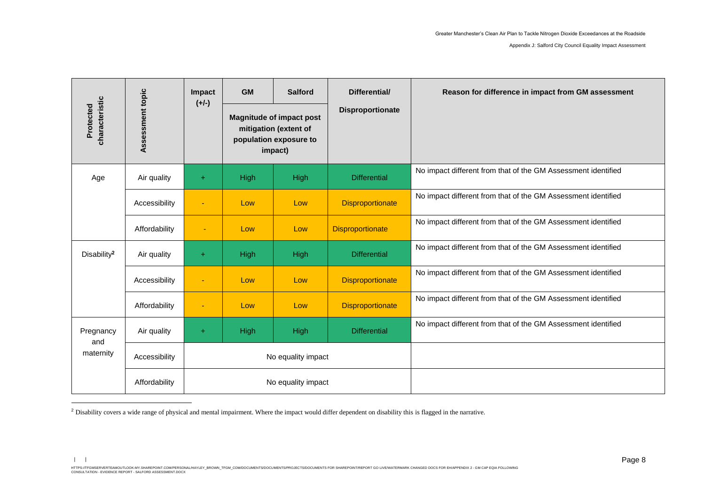Appendix J: Salford City Council Equality Impact Assessment

|                             |                  | Impact<br>$(+/-)$ | <b>GM</b>                                                                                     | <b>Salford</b>     | Differential/           | Reason for difference in impact from GM assessment            |
|-----------------------------|------------------|-------------------|-----------------------------------------------------------------------------------------------|--------------------|-------------------------|---------------------------------------------------------------|
| characteristic<br>Protected | Assessment topic |                   | <b>Magnitude of impact post</b><br>mitigation (extent of<br>population exposure to<br>impact) |                    | <b>Disproportionate</b> |                                                               |
| Age                         | Air quality      | ÷                 | High                                                                                          | High               | <b>Differential</b>     | No impact different from that of the GM Assessment identified |
|                             | Accessibility    | $\blacksquare$    | Low                                                                                           | Low                | <b>Disproportionate</b> | No impact different from that of the GM Assessment identified |
|                             | Affordability    | $\blacksquare$    | Low                                                                                           | Low                | <b>Disproportionate</b> | No impact different from that of the GM Assessment identified |
| Disability <sup>2</sup>     | Air quality      | $+$               | High                                                                                          | High               | <b>Differential</b>     | No impact different from that of the GM Assessment identified |
|                             | Accessibility    | $\blacksquare$    | Low                                                                                           | Low                | <b>Disproportionate</b> | No impact different from that of the GM Assessment identified |
|                             | Affordability    | $\blacksquare$    | Low                                                                                           | Low                | <b>Disproportionate</b> | No impact different from that of the GM Assessment identified |
| Pregnancy<br>and            | Air quality      | $\ddot{}$         | High                                                                                          | High               | <b>Differential</b>     | No impact different from that of the GM Assessment identified |
| maternity                   | Accessibility    |                   |                                                                                               | No equality impact |                         |                                                               |
|                             | Affordability    |                   | No equality impact                                                                            |                    |                         |                                                               |

<sup>&</sup>lt;sup>2</sup> Disability covers a wide range of physical and mental impairment. Where the impact would differ dependent on disability this is flagged in the narrative.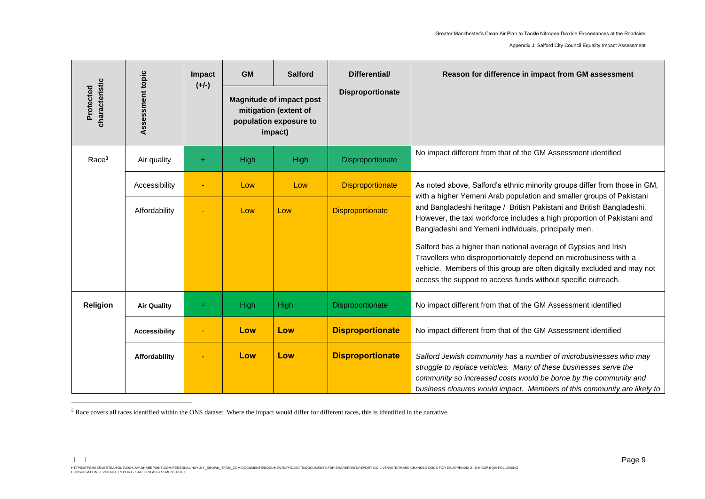Appendix J: Salford City Council Equality Impact Assessment

|                             |                      | Impact  | <b>GM</b>                                                                                     | <b>Salford</b> | Differential/           | Reason for difference in impact from GM assessment                                                                                                                                                                                                                                  |
|-----------------------------|----------------------|---------|-----------------------------------------------------------------------------------------------|----------------|-------------------------|-------------------------------------------------------------------------------------------------------------------------------------------------------------------------------------------------------------------------------------------------------------------------------------|
| characteristic<br>Protected | Assessment topic     | $(+/-)$ | <b>Magnitude of impact post</b><br>mitigation (extent of<br>population exposure to<br>impact) |                | Disproportionate        |                                                                                                                                                                                                                                                                                     |
| Race <sup>3</sup>           | Air quality          | ÷       | <b>High</b>                                                                                   | High           | Disproportionate        | No impact different from that of the GM Assessment identified                                                                                                                                                                                                                       |
|                             | Accessibility        |         | Low                                                                                           | Low            | <b>Disproportionate</b> | As noted above, Salford's ethnic minority groups differ from those in GM,<br>with a higher Yemeni Arab population and smaller groups of Pakistani                                                                                                                                   |
|                             | Affordability        |         | Low                                                                                           | Low            | <b>Disproportionate</b> | and Bangladeshi heritage / British Pakistani and British Bangladeshi.<br>However, the taxi workforce includes a high proportion of Pakistani and<br>Bangladeshi and Yemeni individuals, principally men.                                                                            |
|                             |                      |         |                                                                                               |                |                         | Salford has a higher than national average of Gypsies and Irish<br>Travellers who disproportionately depend on microbusiness with a<br>vehicle. Members of this group are often digitally excluded and may not<br>access the support to access funds without specific outreach.     |
| Religion                    | <b>Air Quality</b>   | ÷       | High                                                                                          | High           | Disproportionate        | No impact different from that of the GM Assessment identified                                                                                                                                                                                                                       |
|                             | <b>Accessibility</b> |         | Low                                                                                           | Low            | <b>Disproportionate</b> | No impact different from that of the GM Assessment identified                                                                                                                                                                                                                       |
|                             | Affordability        |         | Low                                                                                           | Low            | <b>Disproportionate</b> | Salford Jewish community has a number of microbusinesses who may<br>struggle to replace vehicles. Many of these businesses serve the<br>community so increased costs would be borne by the community and<br>business closures would impact. Members of this community are likely to |

<sup>3</sup> Race covers all races identified within the ONS dataset. Where the impact would differ for different races, this is identified in the narrative.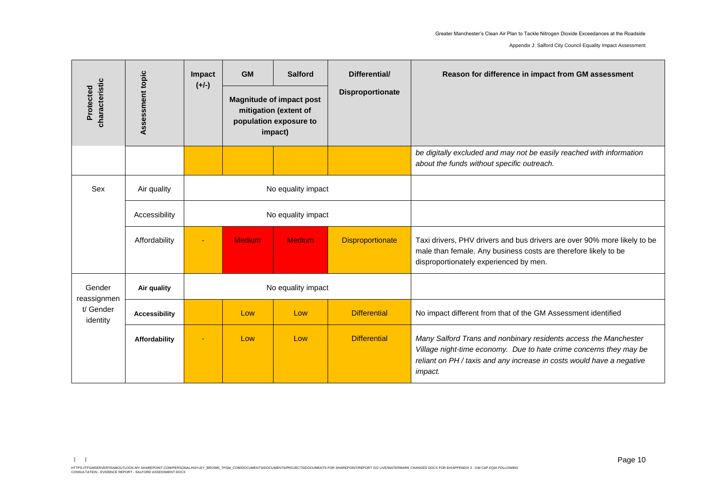Appendix J: Salford City Council Equality Impact Assessment

|                             |                      | Impact<br>$(+/-)$  | <b>GM</b>                                                                                     | <b>Salford</b>     | Differential/           | Reason for difference in impact from GM assessment                                                                                                                                                                                |
|-----------------------------|----------------------|--------------------|-----------------------------------------------------------------------------------------------|--------------------|-------------------------|-----------------------------------------------------------------------------------------------------------------------------------------------------------------------------------------------------------------------------------|
| characteristic<br>Protected | Assessment topic     |                    | <b>Magnitude of impact post</b><br>mitigation (extent of<br>population exposure to<br>impact) |                    | <b>Disproportionate</b> |                                                                                                                                                                                                                                   |
|                             |                      |                    |                                                                                               |                    |                         | be digitally excluded and may not be easily reached with information<br>about the funds without specific outreach.                                                                                                                |
| Sex                         | Air quality          | No equality impact |                                                                                               |                    |                         |                                                                                                                                                                                                                                   |
|                             | Accessibility        |                    |                                                                                               | No equality impact |                         |                                                                                                                                                                                                                                   |
|                             | Affordability        |                    | <b>Medium</b>                                                                                 | <b>Medium</b>      | <b>Disproportionate</b> | Taxi drivers, PHV drivers and bus drivers are over 90% more likely to be<br>male than female. Any business costs are therefore likely to be<br>disproportionately experienced by men.                                             |
| Gender<br>reassignmen       | Air quality          |                    | No equality impact                                                                            |                    |                         |                                                                                                                                                                                                                                   |
| t/ Gender<br>identity       | <b>Accessibility</b> |                    | Low                                                                                           | Low                | <b>Differential</b>     | No impact different from that of the GM Assessment identified                                                                                                                                                                     |
|                             | Affordability        |                    | Low                                                                                           | Low                | <b>Differential</b>     | Many Salford Trans and nonbinary residents access the Manchester<br>Village night-time economy. Due to hate crime concerns they may be<br>reliant on PH / taxis and any increase in costs would have a negative<br><i>impact.</i> |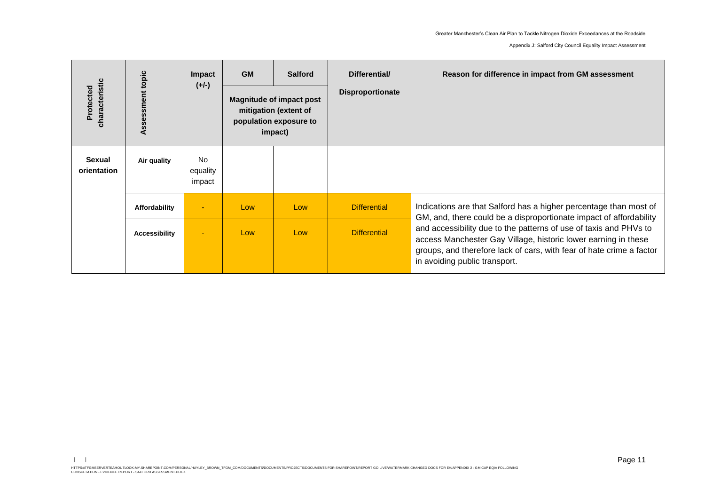Appendix J: Salford City Council Equality Impact Assessment

| characteristic<br>Protected  | Assessment topic     | Impact<br>$(+/-)$               | <b>GM</b> | <b>Salford</b><br><b>Magnitude of impact post</b><br>mitigation (extent of<br>population exposure to<br>impact) | Differential/<br>Disproportionate | Reason for difference in impact from GM assessment                                                                                                                                                                                           |
|------------------------------|----------------------|---------------------------------|-----------|-----------------------------------------------------------------------------------------------------------------|-----------------------------------|----------------------------------------------------------------------------------------------------------------------------------------------------------------------------------------------------------------------------------------------|
| <b>Sexual</b><br>orientation | Air quality          | <b>No</b><br>equality<br>impact |           |                                                                                                                 |                                   |                                                                                                                                                                                                                                              |
|                              | Affordability        | $\overline{\phantom{a}}$        | Low       | Low                                                                                                             | <b>Differential</b>               | Indications are that Salford has a higher percentage than most of<br>GM, and, there could be a disproportionate impact of affordability                                                                                                      |
|                              | <b>Accessibility</b> | ٠                               | Low       | Low                                                                                                             | <b>Differential</b>               | and accessibility due to the patterns of use of taxis and PHVs to<br>access Manchester Gay Village, historic lower earning in these<br>groups, and therefore lack of cars, with fear of hate crime a factor<br>in avoiding public transport. |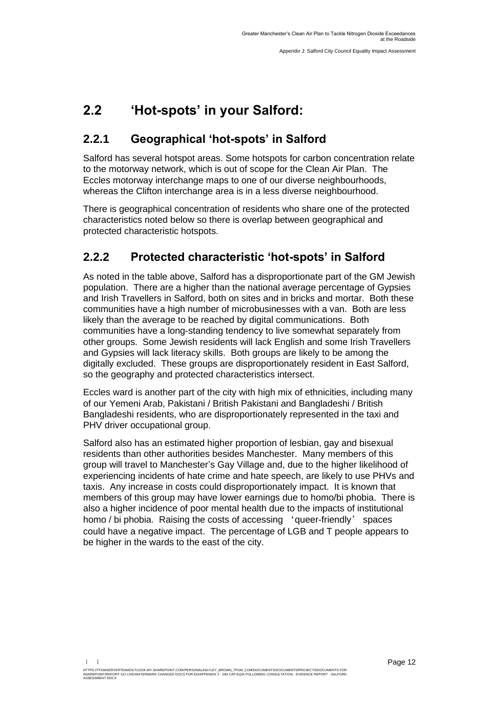## <span id="page-12-0"></span>**2.2 'Hot-spots' in your Salford:**

## **2.2.1 Geographical 'hot-spots' in Salford**

Salford has several hotspot areas. Some hotspots for carbon concentration relate to the motorway network, which is out of scope for the Clean Air Plan. The Eccles motorway interchange maps to one of our diverse neighbourhoods, whereas the Clifton interchange area is in a less diverse neighbourhood.

There is geographical concentration of residents who share one of the protected characteristics noted below so there is overlap between geographical and protected characteristic hotspots.

## **2.2.2 Protected characteristic 'hot-spots' in Salford**

As noted in the table above, Salford has a disproportionate part of the GM Jewish population. There are a higher than the national average percentage of Gypsies and Irish Travellers in Salford, both on sites and in bricks and mortar. Both these communities have a high number of microbusinesses with a van. Both are less likely than the average to be reached by digital communications. Both communities have a long-standing tendency to live somewhat separately from other groups. Some Jewish residents will lack English and some Irish Travellers and Gypsies will lack literacy skills. Both groups are likely to be among the digitally excluded. These groups are disproportionately resident in East Salford, so the geography and protected characteristics intersect.

Eccles ward is another part of the city with high mix of ethnicities, including many of our Yemeni Arab, Pakistani / British Pakistani and Bangladeshi / British Bangladeshi residents, who are disproportionately represented in the taxi and PHV driver occupational group.

Salford also has an estimated higher proportion of lesbian, gay and bisexual residents than other authorities besides Manchester. Many members of this group will travel to Manchester's Gay Village and, due to the higher likelihood of experiencing incidents of hate crime and hate speech, are likely to use PHVs and taxis. Any increase in costs could disproportionately impact. It is known that members of this group may have lower earnings due to homo/bi phobia. There is also a higher incidence of poor mental health due to the impacts of institutional homo / bi phobia. Raising the costs of accessing 'queer-friendly' spaces could have a negative impact. The percentage of LGB and T people appears to be higher in the wards to the east of the city.

HTTPS://TFGMSERVERTEAMOUTLOOK-MY.SHAREPOINT.COM/PERSONAL/HAYLEY\_BROWN\_TFGM\_COM/DOCUMENTS/DOCUMENTS/PROJECTS/DOCUMENTS FOR<br>SHAREPOINT/REPORT GO LIVE/WATERMARK CHANGED DOCS FOR EH/APPENDIX 2 - GM CAP EQIA FOLLOWING CONSULTAT

**ASSESSMENT.DOCX**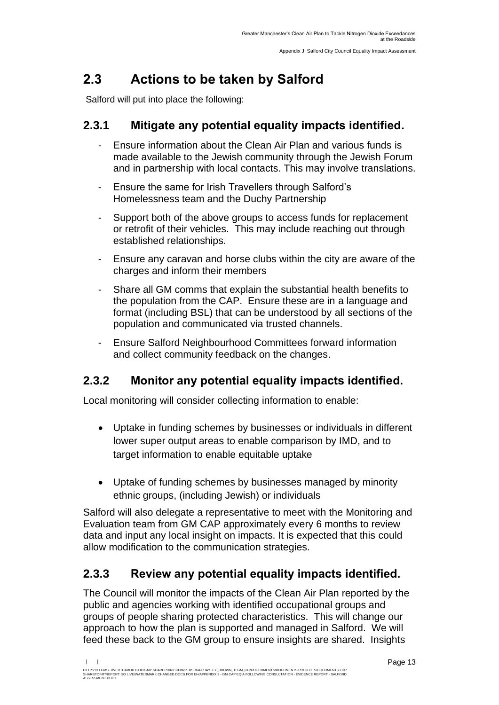# <span id="page-13-0"></span>**2.3 Actions to be taken by Salford**

Salford will put into place the following:

### **2.3.1 Mitigate any potential equality impacts identified.**

- Ensure information about the Clean Air Plan and various funds is made available to the Jewish community through the Jewish Forum and in partnership with local contacts. This may involve translations.
- Ensure the same for Irish Travellers through Salford's Homelessness team and the Duchy Partnership
- Support both of the above groups to access funds for replacement or retrofit of their vehicles. This may include reaching out through established relationships.
- Ensure any caravan and horse clubs within the city are aware of the charges and inform their members
- Share all GM comms that explain the substantial health benefits to the population from the CAP. Ensure these are in a language and format (including BSL) that can be understood by all sections of the population and communicated via trusted channels.
- Ensure Salford Neighbourhood Committees forward information and collect community feedback on the changes.

### **2.3.2 Monitor any potential equality impacts identified.**

Local monitoring will consider collecting information to enable:

- Uptake in funding schemes by businesses or individuals in different lower super output areas to enable comparison by IMD, and to target information to enable equitable uptake
- Uptake of funding schemes by businesses managed by minority ethnic groups, (including Jewish) or individuals

Salford will also delegate a representative to meet with the Monitoring and Evaluation team from GM CAP approximately every 6 months to review data and input any local insight on impacts. It is expected that this could allow modification to the communication strategies.

### **2.3.3 Review any potential equality impacts identified.**

The Council will monitor the impacts of the Clean Air Plan reported by the public and agencies working with identified occupational groups and groups of people sharing protected characteristics. This will change our approach to how the plan is supported and managed in Salford. We will feed these back to the GM group to ensure insights are shared. Insights